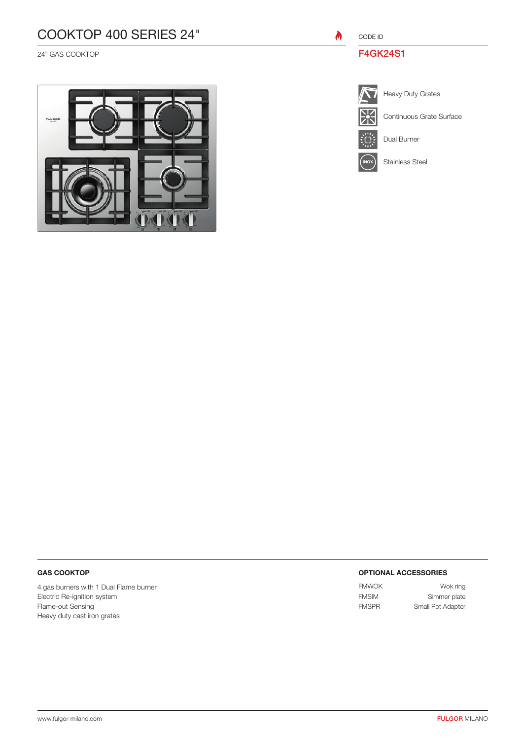# COOKTOP 400 SERIES 24"

24" GAS COOKTOP



CODE ID

 $\bullet$ 

### F4GK24S1



Ĩ,

Heavy Duty Grates Heavy Duty Grates

Continuous Grate Surface

Dual Burner

**INOX** Stainless Steel

### GAS COOKTOP

4 gas burners with 1 Dual Flame burner Electric Re-ignition system Flame-out Sensing Heavy duty cast iron grates

#### OPTIONAL ACCESSORIES

FMWOK Wok ring FMSIM Simmer plate FMSPR Small Pot Adapter